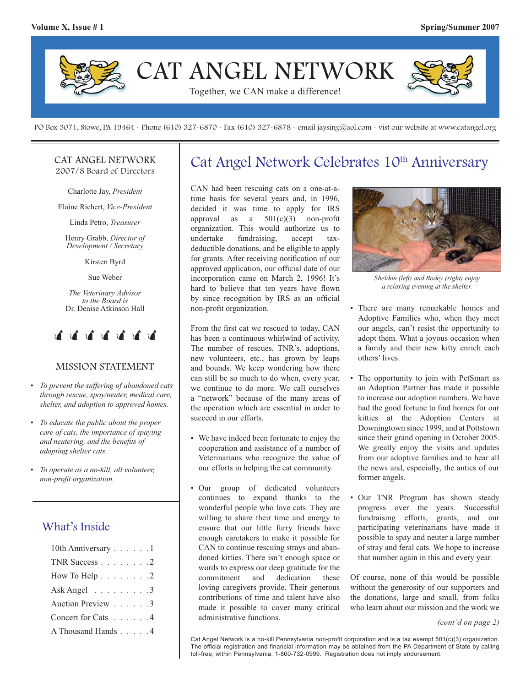

PO Box 3071, Stowe, PA 19464 - Phone (610) 327-6870 - Fax (610) 327-6878 - email jaysing@aol.com - vist our website at www.catangel.org

#### CAT ANGEL NETWORK 2007/8 Board of Directors

Charlotte Jay, *President*

Elaine Richert, *Vice-President*

Linda Petro, *Treasurer*

Henry Grabb, *Director of Development / Secretary*

Kirsten Byrd

Sue Weber

*The Veterinary Advisor to the Board is*  Dr. Denise Atkinson Hall



#### MISSION STATEMENT

- *To prevent the suffering of abandoned cats through rescue, spay/neuter, medical care, shelter, and adoption to approved homes.*
- *To educate the public about the proper care of cats, the importance of spaying and neutering, and the benefits of adopting shelter cats.*
- *To operate as a no-kill, all volunteer, non-profi t organization.*

### What's Inside

| 10th Anniversary 1                       |  |  |  |
|------------------------------------------|--|--|--|
| TNR Success $\ldots$ $\ldots$ $\ldots$ 2 |  |  |  |
| How To Help $\ldots \ldots \ldots 2$     |  |  |  |
| Ask Angel $\ldots \ldots \ldots$ 3       |  |  |  |
| Auction Preview 3                        |  |  |  |
| Concert for Cats 4                       |  |  |  |
| A Thousand Hands 4                       |  |  |  |

## Cat Angel Network Celebrates 10<sup>th</sup> Anniversary

CAN had been rescuing cats on a one-at-atime basis for several years and, in 1996, decided it was time to apply for IRS approval as a  $501(c)(3)$  non-profit organization. This would authorize us to undertake fundraising, accept taxdeductible donations, and be eligible to apply for grants. After receiving notification of our approved application, our official date of our incorporation came on March 2, 1996! It's hard to believe that ten years have flown by since recognition by IRS as an official non-profit organization.

From the first cat we rescued to today, CAN has been a continuous whirlwind of activity. The number of rescues, TNR's, adoptions, new volunteers, etc., has grown by leaps and bounds. We keep wondering how there can still be so much to do when, every year, we continue to do more. We call ourselves a "network" because of the many areas of the operation which are essential in order to succeed in our efforts.

- We have indeed been fortunate to enjoy the cooperation and assistance of a number of Veterinarians who recognize the value of our efforts in helping the cat community.
- Our group of dedicated volunteers continues to expand thanks to the wonderful people who love cats. They are willing to share their time and energy to ensure that our little furry friends have enough caretakers to make it possible for CAN to continue rescuing strays and abandoned kitties. There isn't enough space or words to express our deep gratitude for the commitment and dedication these loving caregivers provide. Their generous contributions of time and talent have also made it possible to cover many critical administrative functions.



*Sheldon (left) and Bodey (right) enjoy a relaxing evening at the shelter.*

- There are many remarkable homes and Adoptive Families who, when they meet our angels, can't resist the opportunity to adopt them. What a joyous occasion when a family and their new kitty enrich each others' lives.
- The opportunity to join with PetSmart as an Adoption Partner has made it possible to increase our adoption numbers. We have had the good fortune to find homes for our kitties at the Adoption Centers at Downingtown since 1999, and at Pottstown since their grand opening in October 2005. We greatly enjoy the visits and updates from our adoptive families and to hear all the news and, especially, the antics of our former angels.
- Our TNR Program has shown steady progress over the years. Successful fundraising efforts, grants, and our participating veterinarians have made it possible to spay and neuter a large number of stray and feral cats. We hope to increase that number again in this and every year.

Of course, none of this would be possible without the generosity of our supporters and the donations, large and small, from folks who learn about our mission and the work we

```
(cont'd on page 2)
```
Cat Angel Network is a no-kill Pennsylvania non-profit corporation and is a tax exempt 501(c)(3) organization. The official registration and financial information may be obtained from the PA Department of State by calling toll-free, within Pennsylvania, 1-800-732-0999. Registration does not imply endorsement.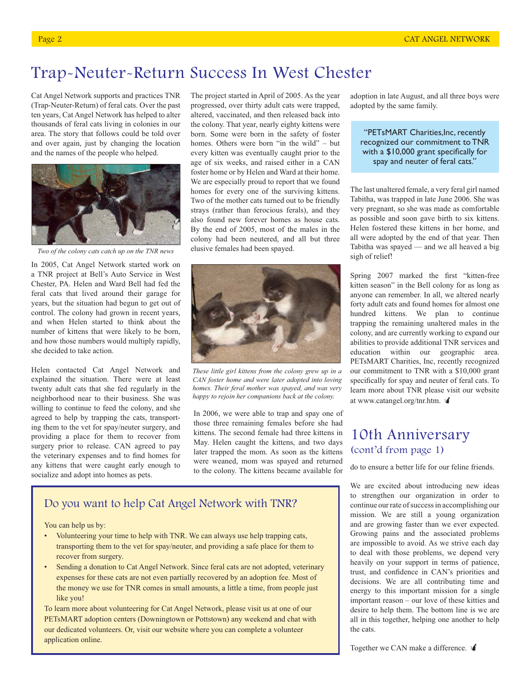### Trap-Neuter-Return Success In West Chester

Cat Angel Network supports and practices TNR (Trap-Neuter-Return) of feral cats. Over the past ten years, Cat Angel Network has helped to alter thousands of feral cats living in colonies in our area. The story that follows could be told over and over again, just by changing the location and the names of the people who helped.



*Two of the colony cats catch up on the TNR news*

In 2005, Cat Angel Network started work on a TNR project at Bell's Auto Service in West Chester, PA. Helen and Ward Bell had fed the feral cats that lived around their garage for years, but the situation had begun to get out of control. The colony had grown in recent years, and when Helen started to think about the number of kittens that were likely to be born, and how those numbers would multiply rapidly, she decided to take action.

Helen contacted Cat Angel Network and explained the situation. There were at least twenty adult cats that she fed regularly in the neighborhood near to their business. She was willing to continue to feed the colony, and she agreed to help by trapping the cats, transporting them to the vet for spay/neuter surgery, and providing a place for them to recover from surgery prior to release. CAN agreed to pay the veterinary expenses and to find homes for any kittens that were caught early enough to socialize and adopt into homes as pets.

The project started in April of 2005. As the year progressed, over thirty adult cats were trapped, altered, vaccinated, and then released back into the colony. That year, nearly eighty kittens were born. Some were born in the safety of foster homes. Others were born "in the wild" – but every kitten was eventually caught prior to the age of six weeks, and raised either in a CAN foster home or by Helen and Ward at their home. We are especially proud to report that we found homes for every one of the surviving kittens. Two of the mother cats turned out to be friendly strays (rather than ferocious ferals), and they also found new forever homes as house cats. By the end of 2005, most of the males in the colony had been neutered, and all but three elusive females had been spayed.



*These little girl kittens from the colony grew up in a CAN foster home and were later adopted into loving homes. Their feral mother was spayed, and was very happy to rejoin her companions back at the colony.*

In 2006, we were able to trap and spay one of those three remaining females before she had kittens. The second female had three kittens in May. Helen caught the kittens, and two days later trapped the mom. As soon as the kittens were weaned, mom was spayed and returned to the colony. The kittens became available for

#### Do you want to help Cat Angel Network with TNR?

You can help us by:

- Volunteering your time to help with TNR. We can always use help trapping cats, transporting them to the vet for spay/neuter, and providing a safe place for them to recover from surgery.
- Sending a donation to Cat Angel Network. Since feral cats are not adopted, veterinary expenses for these cats are not even partially recovered by an adoption fee. Most of the money we use for TNR comes in small amounts, a little a time, from people just like you!

To learn more about volunteering for Cat Angel Network, please visit us at one of our PETsMART adoption centers (Downingtown or Pottstown) any weekend and chat with our dedicated volunteers. Or, visit our website where you can complete a volunteer application online.

adoption in late August, and all three boys were adopted by the same family.

"PETsMART Charities,Inc, recently recognized our commitment to TNR with a  $$10,000$  grant specifically for spay and neuter of feral cats."

The last unaltered female, a very feral girl named Tabitha, was trapped in late June 2006. She was very pregnant, so she was made as comfortable as possible and soon gave birth to six kittens. Helen fostered these kittens in her home, and all were adopted by the end of that year. Then Tabitha was spayed — and we all heaved a big sigh of relief!

Spring 2007 marked the first "kitten-free kitten season" in the Bell colony for as long as anyone can remember. In all, we altered nearly forty adult cats and found homes for almost one hundred kittens. We plan to continue trapping the remaining unaltered males in the colony, and are currently working to expand our abilities to provide additional TNR services and education within our geographic area. PETsMART Charities, Inc, recently recognized our commitment to TNR with a \$10,000 grant specifically for spay and neuter of feral cats. To learn more about TNR please visit our website at www.catangel.org/tnr.htm.

### 10th Anniversary (cont'd from page 1)

do to ensure a better life for our feline friends.

We are excited about introducing new ideas to strengthen our organization in order to continue our rate of success in accomplishing our mission. We are still a young organization and are growing faster than we ever expected. Growing pains and the associated problems are impossible to avoid. As we strive each day to deal with those problems, we depend very heavily on your support in terms of patience, trust, and confidence in CAN's priorities and decisions. We are all contributing time and energy to this important mission for a single important reason – our love of these kitties and desire to help them. The bottom line is we are all in this together, helping one another to help the cats.

Together we CAN make a difference.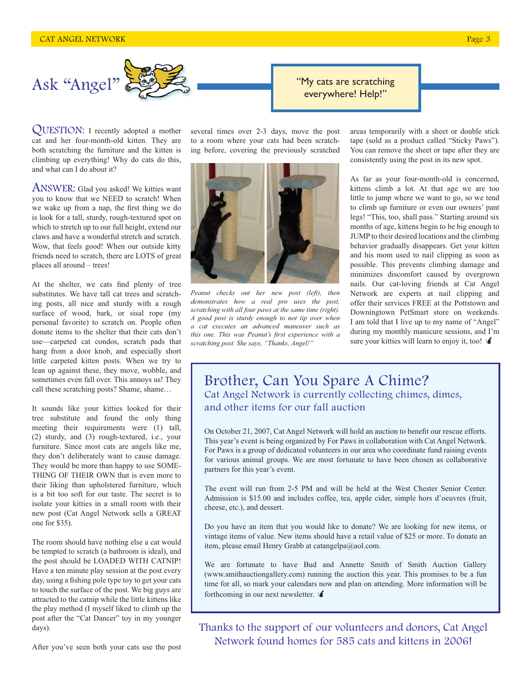

QUESTION: I recently adopted a mother cat and her four-month-old kitten. They are both scratching the furniture and the kitten is climbing up everything! Why do cats do this, and what can I do about it?

ANSWER: Glad you asked! We kitties want you to know that we NEED to scratch! When we wake up from a nap, the first thing we do is look for a tall, sturdy, rough-textured spot on which to stretch up to our full height, extend our claws and have a wonderful stretch and scratch. Wow, that feels good! When our outside kitty friends need to scratch, there are LOTS of great places all around – trees!

At the shelter, we cats find plenty of tree substitutes. We have tall cat trees and scratching posts, all nice and sturdy with a rough surface of wood, bark, or sisal rope (my personal favorite) to scratch on. People often donate items to the shelter that their cats don't use—carpeted cat condos, scratch pads that hang from a door knob, and especially short little carpeted kitten posts. When we try to lean up against these, they move, wobble, and sometimes even fall over. This annoys us! They call these scratching posts? Shame, shame…

It sounds like your kitties looked for their tree substitute and found the only thing meeting their requirements were (1) tall, (2) sturdy, and (3) rough-textured, i.e., your furniture. Since most cats are angels like me, they don't deliberately want to cause damage. They would be more than happy to use SOME-THING OF THEIR OWN that is even more to their liking than upholstered furniture, which is a bit too soft for our taste. The secret is to isolate your kitties in a small room with their new post (Cat Angel Network sells a GREAT one for \$35).

The room should have nothing else a cat would be tempted to scratch (a bathroom is ideal), and the post should be LOADED WITH CATNIP! Have a ten minute play session at the post every day, using a fishing pole type toy to get your cats to touch the surface of the post. We big guys are attracted to the catnip while the little kittens like the play method (I myself liked to climb up the post after the "Cat Dancer" toy in my younger days).

several times over 2-3 days, move the post to a room where your cats had been scratching before, covering the previously scratched



*Peanut checks out her new post (left), then demonstrates how a real pro uses the post, scratching with all four paws at the same time (right). A good post is sturdy enough to not tip over when a cat executes an advanced maneuver such as*  this one. This was Peanut's first experience with a *scratching post. She says, "Thanks, Angel!"*

areas temporarily with a sheet or double stick tape (sold as a product called "Sticky Paws"). You can remove the sheet or tape after they are consistently using the post in its new spot.

As far as your four-month-old is concerned, kittens climb a lot. At that age we are too little to jump where we want to go, so we tend to climb up furniture or even our owners' pant legs! "This, too, shall pass." Starting around six months of age, kittens begin to be big enough to JUMP to their desired locations and the climbing behavior gradually disappears. Get your kitten and his mom used to nail clipping as soon as possible. This prevents climbing damage and minimizes discomfort caused by overgrown nails. Our cat-loving friends at Cat Angel Network are experts at nail clipping and offer their services FREE at the Pottstown and Downingtown PetSmart store on weekends. I am told that I live up to my name of "Angel" during my monthly manicure sessions, and I'm sure your kitties will learn to enjoy it, too!

#### Brother, Can You Spare A Chime? Cat Angel Network is currently collecting chimes, dimes, and other items for our fall auction

On October 21, 2007, Cat Angel Network will hold an auction to benefit our rescue efforts. This year's event is being organized by For Paws in collaboration with Cat Angel Network. For Paws is a group of dedicated volunteers in our area who coordinate fund raising events for various animal groups. We are most fortunate to have been chosen as collaborative partners for this year's event.

"My cats are scratching everywhere! Help!"

The event will run from 2-5 PM and will be held at the West Chester Senior Center. Admission is \$15.00 and includes coffee, tea, apple cider, simple hors d'oeuvres (fruit, cheese, etc.), and dessert.

Do you have an item that you would like to donate? We are looking for new items, or vintage items of value. New items should have a retail value of \$25 or more. To donate an item, please email Henry Grabb at catangelpa@aol.com.

We are fortunate to have Bud and Annette Smith of Smith Auction Gallery (www.smithauctiongallery.com) running the auction this year. This promises to be a fun time for all, so mark your calendars now and plan on attending. More information will be forthcoming in our next newsletter.

Thanks to the support of our volunteers and donors, Cat Angel Network found homes for 585 cats and kittens in 2006!

After you've seen both your cats use the post